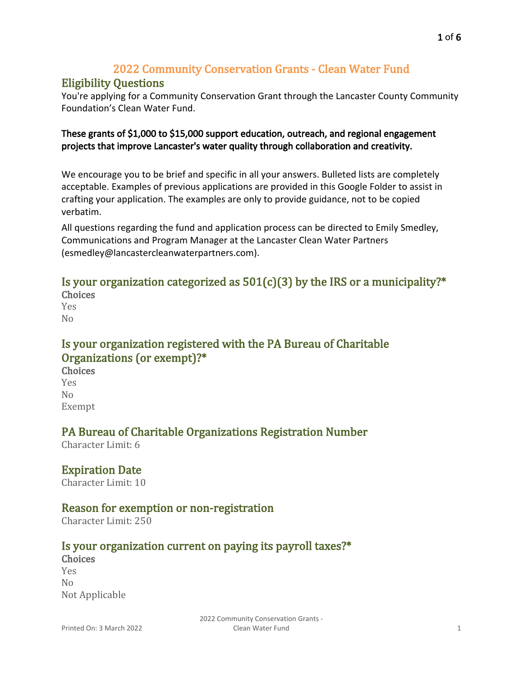# 2022 Community Conservation Grants - Clean Water Fund

# Eligibility Questions

You're applying for a Community Conservation Grant through the Lancaster County Community Foundation's Clean Water Fund.

### These grants of \$1,000 to \$15,000 support education, outreach, and regional engagement projects that improve Lancaster's water quality through collaboration and creativity.

We encourage you to be brief and specific in all your answers. Bulleted lists are completely acceptable. Examples of previous applications are provided [in this Google Folder](https://drive.google.com/drive/folders/13nXQhodP_oFF4W5BElLFkLb_C2ElCBlP?usp=sharing) to assist in crafting your application. The examples are only to provide guidance, not to be copied verbatim.

All questions regarding the fund and application process can be directed to Emily Smedley, Communications and Program Manager at the Lancaster Clean Water Partners ([esmedley@lancastercleanwaterpartners.com](mailto:esmedley@lancastercleanwaterpartners.com)).

# Is your organization categorized as  $501(c)(3)$  by the IRS or a municipality?\*

Choices Yes  $N<sub>0</sub>$ 

# Is your organization registered with the PA Bureau of Charitable Organizations (or exempt)?\*

**Choices** Yes No Exempt

# PA Bureau of Charitable Organizations Registration Number

Character Limit: 6

# Expiration Date

Character Limit: 10

# Reason for exemption or non-registration

Character Limit: 250

# Is your organization current on paying its payroll taxes?\*

**Choices** Yes No Not Applicable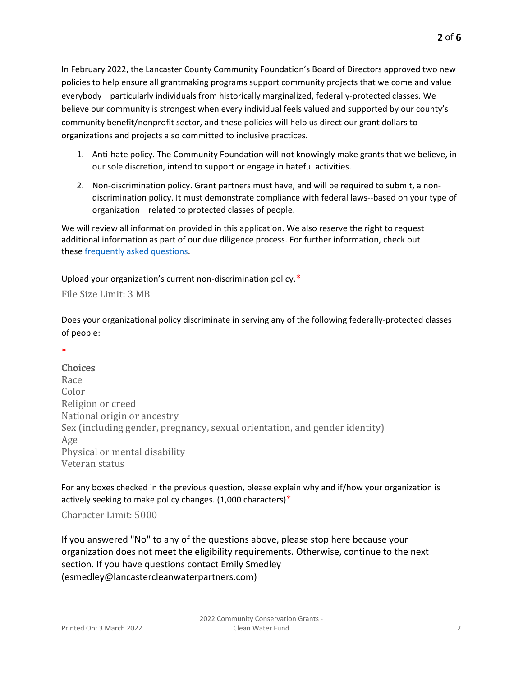In February 2022, the Lancaster County Community Foundation's Board of Directors approved two new policies to help ensure all grantmaking programs support community projects that welcome and value everybody—particularly individuals from historically marginalized, federally-protected classes. We believe our community is strongest when every individual feels valued and supported by our county's community benefit/nonprofit sector, and these policies will help us direct our grant dollars to organizations and projects also committed to inclusive practices.

- 1. Anti-hate policy. The Community Foundation will not knowingly make grants that we believe, in our sole discretion, intend to support or engage in hateful activities.
- 2. Non-discrimination policy. Grant partners must have, and will be required to submit, a nondiscrimination policy. It must demonstrate compliance with federal laws--based on your type of organization—related to protected classes of people.

We will review all information provided in this application. We also reserve the right to request additional information as part of our due diligence process. For further information, check out these [frequently asked questions](https://www.lancfound.org/wp-content/uploads/FAQs_non-discrimination-policy.docx).

Upload your organization's current non-discrimination policy.\*

File Size Limit: 3 MB

Does your organizational policy discriminate in serving any of the following federally-protected classes of people:

# \*

#### Choices

Race Color Religion or creed National origin or ancestry Sex (including gender, pregnancy, sexual orientation, and gender identity) Age Physical or mental disability Veteran status

For any boxes checked in the previous question, please explain why and if/how your organization is actively seeking to make policy changes.  $(1,000$  characters)\*

Character Limit: 5000

If you answered "No" to any of the questions above, please stop here because your organization does not meet the eligibility requirements. Otherwise, continue to the next section. If you have questions contact Emily Smedley ([esmedley@lancastercleanwaterpartners.com](mailto:esmedley@lancastercleanwaterpartners.com))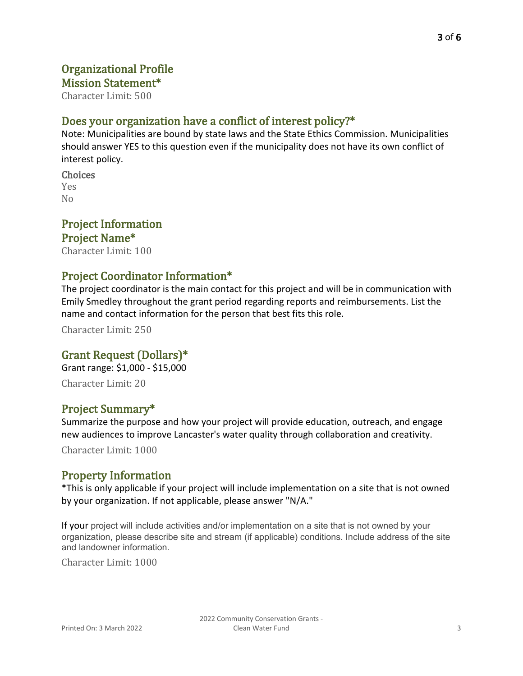### Organizational Profile Mission Statement\*

Character Limit: 500

# Does your organization have a conflict of interest policy?\*

Note: Municipalities are bound by state laws and the State Ethics Commission. Municipalities should answer YES to this question even if the municipality does not have its own conflict of interest policy.

**Choices** Yes No

# Project Information

Project Name\* Character Limit: 100

# Project Coordinator Information\*

The project coordinator is the main contact for this project and will be in communication with Emily Smedley throughout the grant period regarding reports and reimbursements. List the name and contact information for the person that best fits this role.

Character Limit: 250

# Grant Request (Dollars)\*

Grant range: \$1,000 - \$15,000

Character Limit: 20

### Project Summary\*

Summarize the purpose and how your project will provide education, outreach, and engage new audiences to improve Lancaster's water quality through collaboration and creativity. Character Limit: 1000

### Property Information

\*This is only applicable if your project will include implementation on a site that is not owned by your organization. If not applicable, please answer "N/A."

If your project will include activities and/or implementation on a site that is not owned by your organization, please describe site and stream (if applicable) conditions. Include address of the site and landowner information.

Character Limit: 1000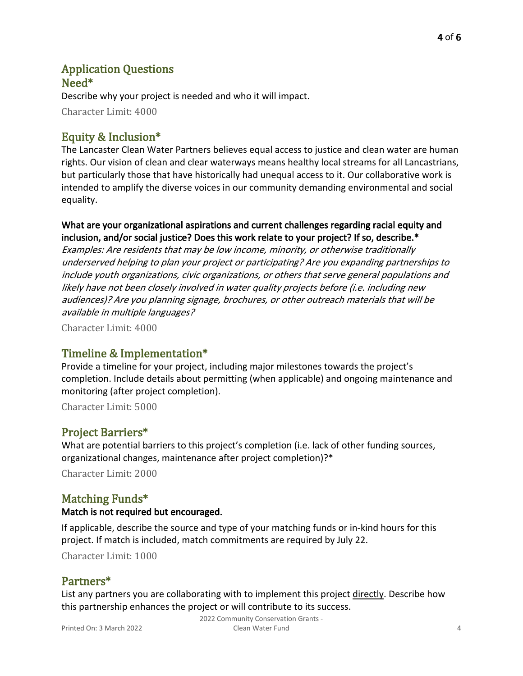### Application Questions Need\*

Describe why your project is needed and who it will impact.

Character Limit: 4000

# Equity & Inclusion\*

The Lancaster Clean Water Partners believes equal access to justice and clean water are human rights. Our vision of clean and clear waterways means healthy local streams for all Lancastrians, but particularly those that have historically had unequal access to it. Our collaborative work is intended to amplify the diverse voices in our community demanding environmental and social equality.

### What are your organizational aspirations and current challenges regarding racial equity and inclusion, and/or social justice? Does this work relate to your project? If so, describe.\*

Examples: Are residents that may be low income, minority, or otherwise traditionally underserved helping to plan your project or participating? Are you expanding partnerships to include youth organizations, civic organizations, or others that serve general populations and likely have not been closely involved in water quality projects before (i.e. including new audiences)? Are you planning signage, brochures, or other outreach materials that will be available in multiple languages?

Character Limit: 4000

# Timeline & Implementation\*

Provide a timeline for your project, including major milestones towards the project's completion. Include details about permitting (when applicable) and ongoing maintenance and monitoring (after project completion).

Character Limit: 5000

# Project Barriers\*

What are potential barriers to this project's completion (i.e. lack of other funding sources, organizational changes, maintenance after project completion)?\*

Character Limit: 2000

# Matching Funds\*

### Match is not required but encouraged.

If applicable, describe the source and type of your matching funds or in-kind hours for this project. If match is included, match commitments are required by July 22.

Character Limit: 1000

# Partners\*

List any partners you are collaborating with to implement this project directly. Describe how this partnership enhances the project or will contribute to its success.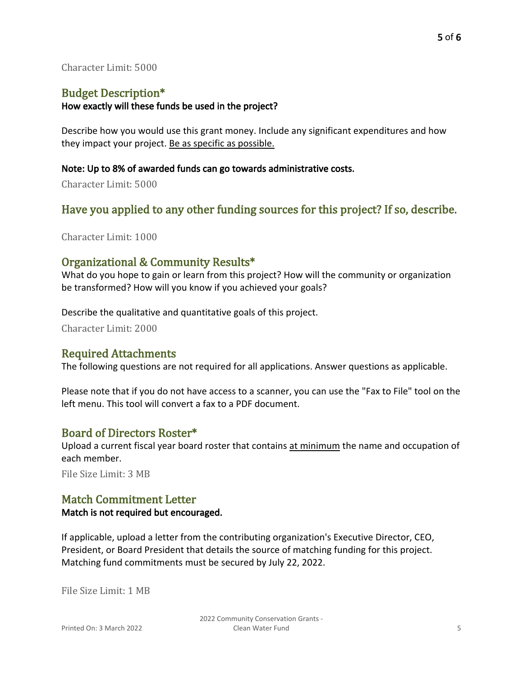#### Character Limit: 5000

# Budget Description\*

#### How exactly will these funds be used in the project?

Describe how you would use this grant money. Include any significant expenditures and how they impact your project. Be as specific as possible.

#### Note: Up to 8% of awarded funds can go towards administrative costs.

Character Limit: 5000

# Have you applied to any other funding sources for this project? If so, describe.

Character Limit: 1000

# Organizational & Community Results\*

What do you hope to gain or learn from this project? How will the community or organization be transformed? How will you know if you achieved your goals?

Describe the qualitative and quantitative goals of this project.

Character Limit: 2000

### Required Attachments

The following questions are not required for all applications. Answer questions as applicable.

Please note that if you do not have access to a scanner, you can use the "Fax to File" tool on the left menu. This tool will convert a fax to a PDF document.

### Board of Directors Roster\*

Upload a current fiscal year board roster that contains at minimum the name and occupation of each member.

File Size Limit: 3 MB

### Match Commitment Letter

#### Match is not required but encouraged.

If applicable, upload a letter from the contributing organization's Executive Director, CEO, President, or Board President that details the source of matching funding for this project. Matching fund commitments must be secured by July 22, 2022.

File Size Limit: 1 MB